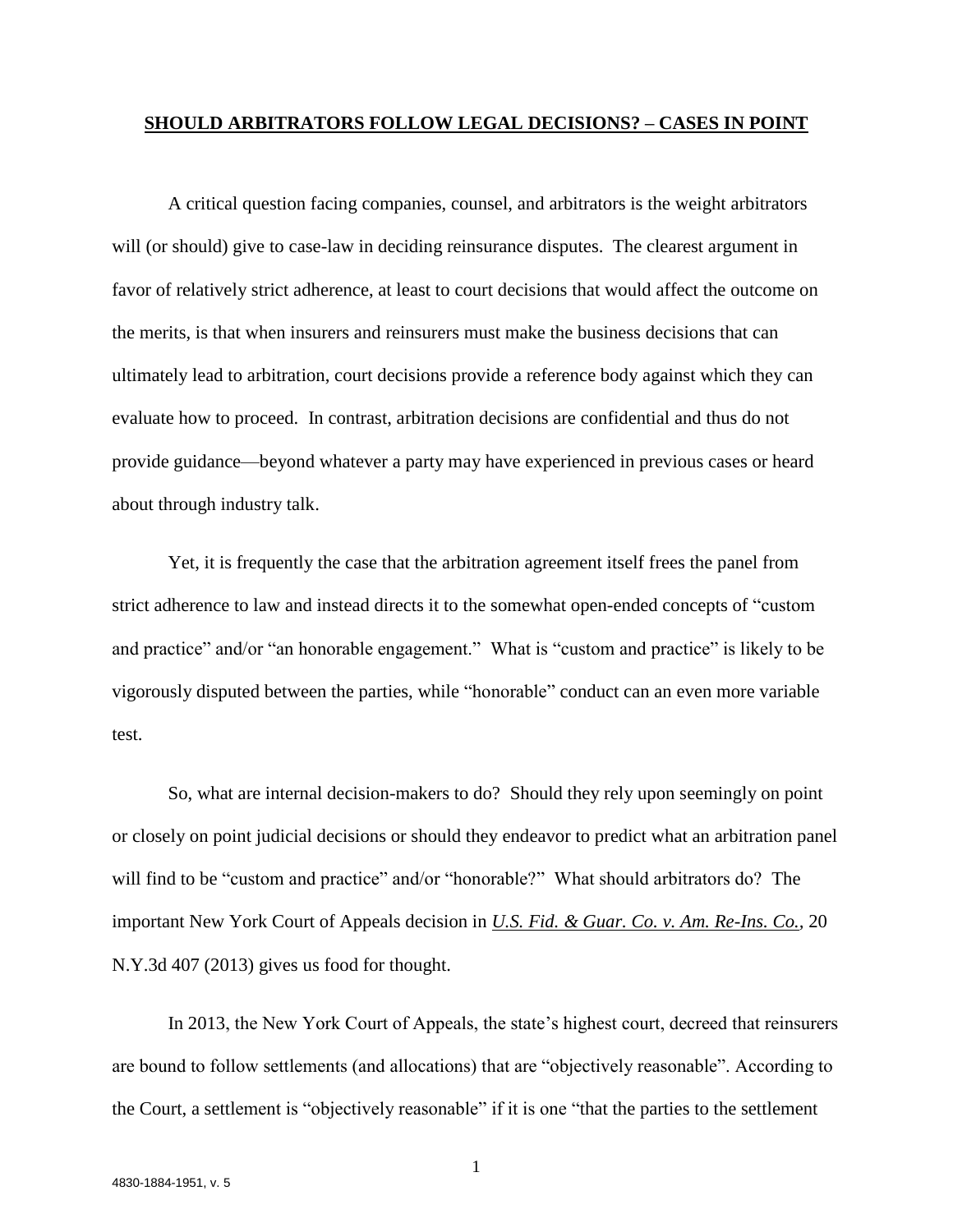#### **SHOULD ARBITRATORS FOLLOW LEGAL DECISIONS? – CASES IN POINT**

A critical question facing companies, counsel, and arbitrators is the weight arbitrators will (or should) give to case-law in deciding reinsurance disputes. The clearest argument in favor of relatively strict adherence, at least to court decisions that would affect the outcome on the merits, is that when insurers and reinsurers must make the business decisions that can ultimately lead to arbitration, court decisions provide a reference body against which they can evaluate how to proceed. In contrast, arbitration decisions are confidential and thus do not provide guidance—beyond whatever a party may have experienced in previous cases or heard about through industry talk.

Yet, it is frequently the case that the arbitration agreement itself frees the panel from strict adherence to law and instead directs it to the somewhat open-ended concepts of "custom and practice" and/or "an honorable engagement." What is "custom and practice" is likely to be vigorously disputed between the parties, while "honorable" conduct can an even more variable test.

So, what are internal decision-makers to do? Should they rely upon seemingly on point or closely on point judicial decisions or should they endeavor to predict what an arbitration panel will find to be "custom and practice" and/or "honorable?" What should arbitrators do? The important New York Court of Appeals decision in *U.S. Fid. & Guar. Co. v. Am. Re-Ins. Co.,* 20 N.Y.3d 407 (2013) gives us food for thought.

In 2013, the New York Court of Appeals, the state's highest court, decreed that reinsurers are bound to follow settlements (and allocations) that are "objectively reasonable". According to the Court, a settlement is "objectively reasonable" if it is one "that the parties to the settlement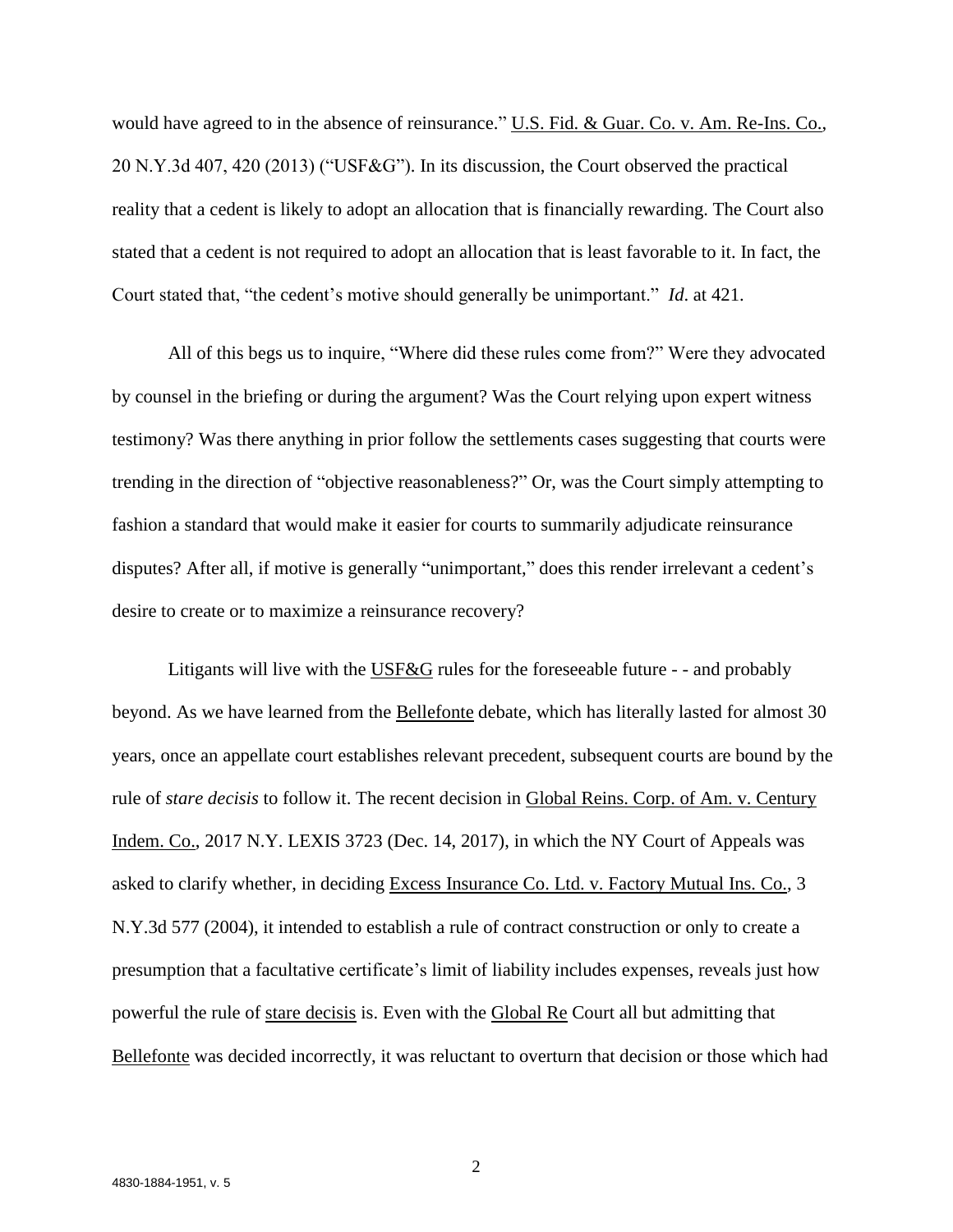would have agreed to in the absence of reinsurance." U.S. Fid. & Guar. Co. v. Am. Re-Ins. Co., 20 N.Y.3d 407, 420 (2013) ("USF&G"). In its discussion, the Court observed the practical reality that a cedent is likely to adopt an allocation that is financially rewarding. The Court also stated that a cedent is not required to adopt an allocation that is least favorable to it. In fact, the Court stated that, "the cedent's motive should generally be unimportant." *Id*. at 421.

All of this begs us to inquire, "Where did these rules come from?" Were they advocated by counsel in the briefing or during the argument? Was the Court relying upon expert witness testimony? Was there anything in prior follow the settlements cases suggesting that courts were trending in the direction of "objective reasonableness?" Or, was the Court simply attempting to fashion a standard that would make it easier for courts to summarily adjudicate reinsurance disputes? After all, if motive is generally "unimportant," does this render irrelevant a cedent's desire to create or to maximize a reinsurance recovery?

Litigants will live with the USF&G rules for the foreseeable future - - and probably beyond. As we have learned from the **Bellefonte** debate, which has literally lasted for almost 30 years, once an appellate court establishes relevant precedent, subsequent courts are bound by the rule of *stare decisis* to follow it. The recent decision in Global Reins. Corp. of Am. v. Century Indem. Co., 2017 N.Y. LEXIS 3723 (Dec. 14, 2017), in which the NY Court of Appeals was asked to clarify whether, in deciding Excess Insurance Co. Ltd. v. Factory Mutual Ins. Co., 3 N.Y.3d 577 (2004), it intended to establish a rule of contract construction or only to create a presumption that a facultative certificate's limit of liability includes expenses, reveals just how powerful the rule of stare decisis is. Even with the Global Re Court all but admitting that Bellefonte was decided incorrectly, it was reluctant to overturn that decision or those which had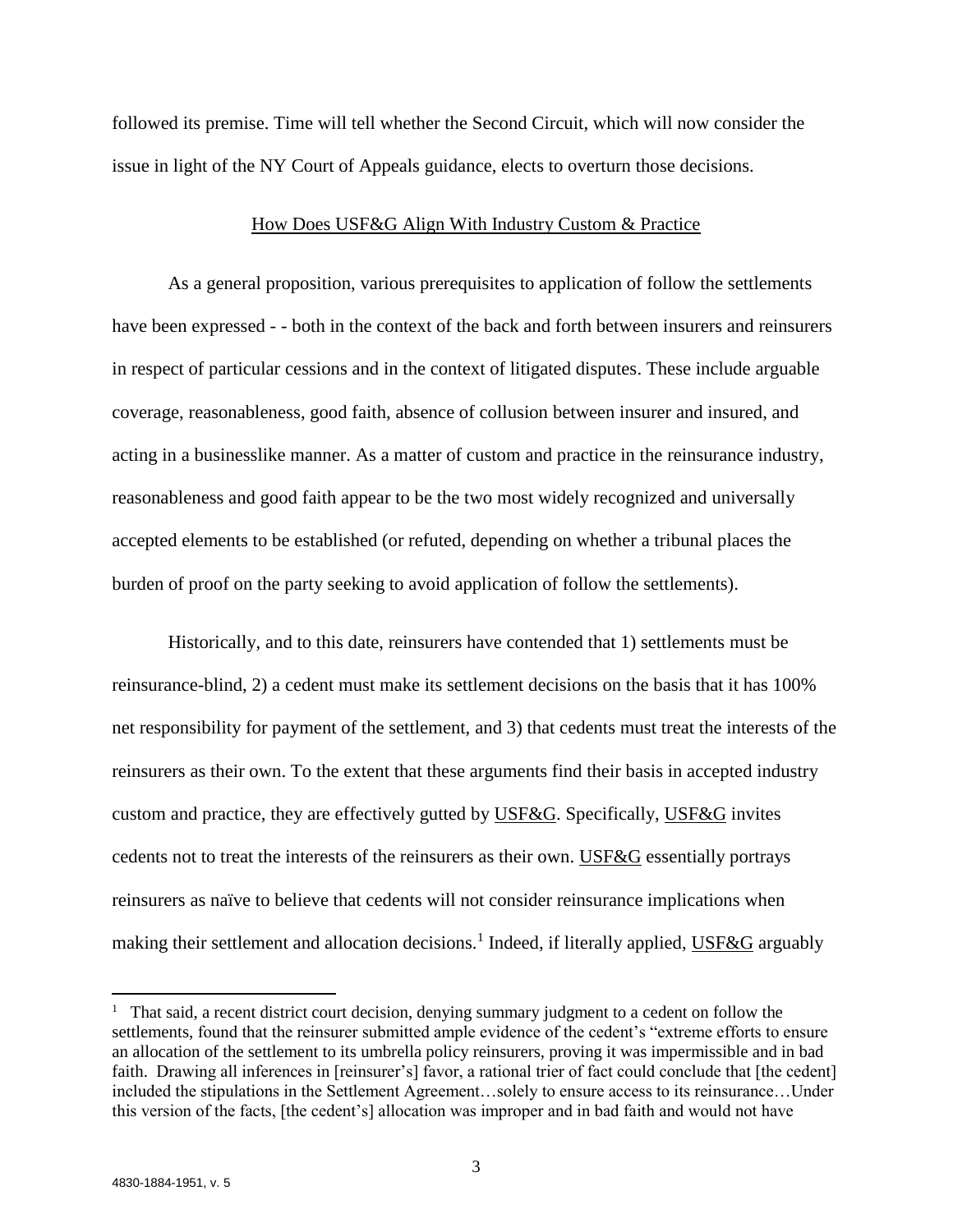followed its premise. Time will tell whether the Second Circuit, which will now consider the issue in light of the NY Court of Appeals guidance, elects to overturn those decisions.

#### How Does USF&G Align With Industry Custom & Practice

As a general proposition, various prerequisites to application of follow the settlements have been expressed - - both in the context of the back and forth between insurers and reinsurers in respect of particular cessions and in the context of litigated disputes. These include arguable coverage, reasonableness, good faith, absence of collusion between insurer and insured, and acting in a businesslike manner. As a matter of custom and practice in the reinsurance industry, reasonableness and good faith appear to be the two most widely recognized and universally accepted elements to be established (or refuted, depending on whether a tribunal places the burden of proof on the party seeking to avoid application of follow the settlements).

Historically, and to this date, reinsurers have contended that 1) settlements must be reinsurance-blind, 2) a cedent must make its settlement decisions on the basis that it has 100% net responsibility for payment of the settlement, and 3) that cedents must treat the interests of the reinsurers as their own. To the extent that these arguments find their basis in accepted industry custom and practice, they are effectively gutted by USF&G. Specifically, USF&G invites cedents not to treat the interests of the reinsurers as their own. USF&G essentially portrays reinsurers as naïve to believe that cedents will not consider reinsurance implications when making their settlement and allocation decisions.<sup>1</sup> Indeed, if literally applied, USF&G arguably

l

<sup>&</sup>lt;sup>1</sup> That said, a recent district court decision, denying summary judgment to a cedent on follow the settlements, found that the reinsurer submitted ample evidence of the cedent's "extreme efforts to ensure an allocation of the settlement to its umbrella policy reinsurers, proving it was impermissible and in bad faith. Drawing all inferences in [reinsurer's] favor, a rational trier of fact could conclude that [the cedent] included the stipulations in the Settlement Agreement…solely to ensure access to its reinsurance…Under this version of the facts, [the cedent's] allocation was improper and in bad faith and would not have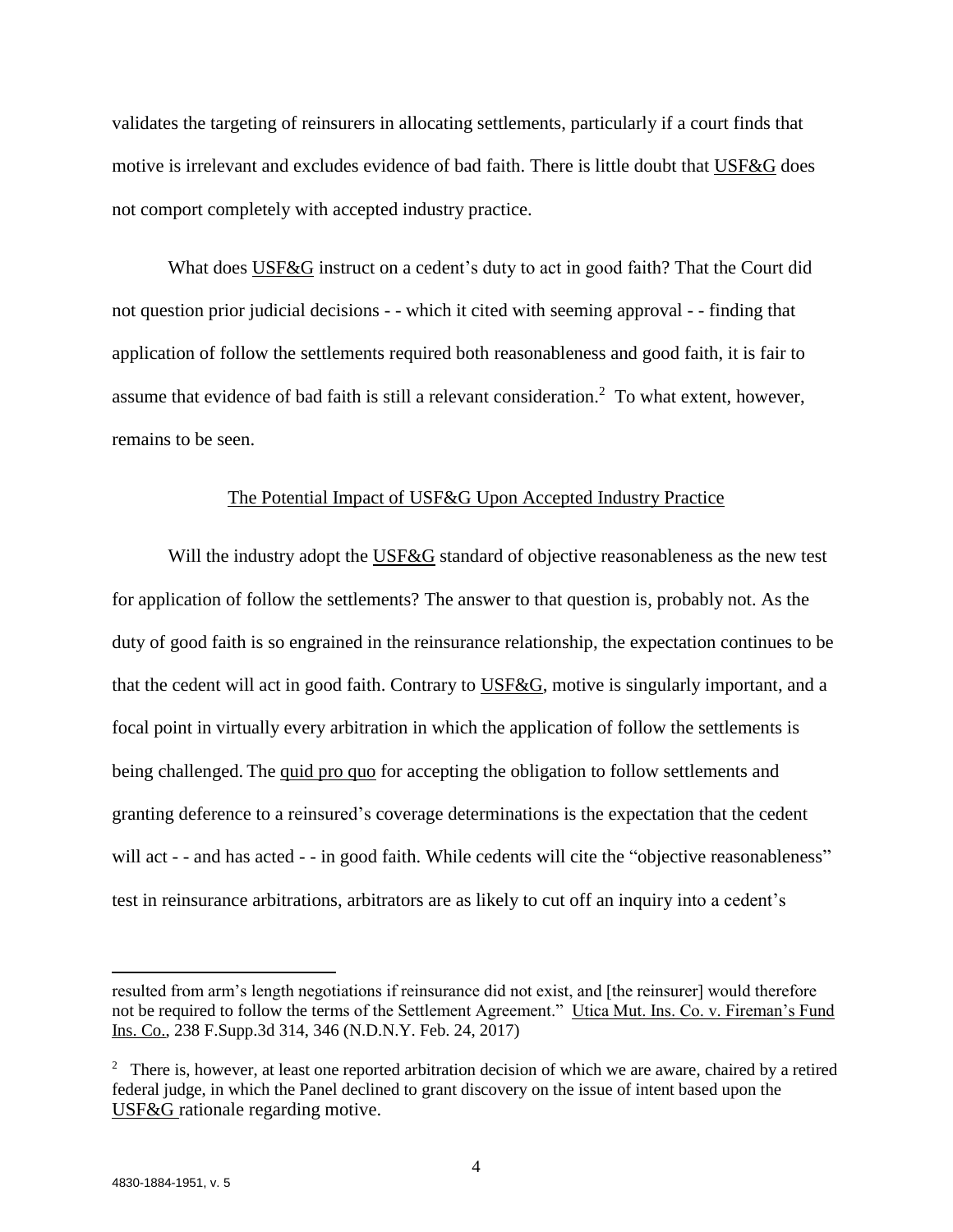validates the targeting of reinsurers in allocating settlements, particularly if a court finds that motive is irrelevant and excludes evidence of bad faith. There is little doubt that USF&G does not comport completely with accepted industry practice.

What does USF&G instruct on a cedent's duty to act in good faith? That the Court did not question prior judicial decisions - - which it cited with seeming approval - - finding that application of follow the settlements required both reasonableness and good faith, it is fair to assume that evidence of bad faith is still a relevant consideration.<sup>2</sup> To what extent, however, remains to be seen.

# The Potential Impact of USF&G Upon Accepted Industry Practice

Will the industry adopt the USF&G standard of objective reasonableness as the new test for application of follow the settlements? The answer to that question is, probably not. As the duty of good faith is so engrained in the reinsurance relationship, the expectation continues to be that the cedent will act in good faith. Contrary to USF&G, motive is singularly important, and a focal point in virtually every arbitration in which the application of follow the settlements is being challenged. The quid pro quo for accepting the obligation to follow settlements and granting deference to a reinsured's coverage determinations is the expectation that the cedent will act - - and has acted - - in good faith. While cedents will cite the "objective reasonableness" test in reinsurance arbitrations, arbitrators are as likely to cut off an inquiry into a cedent's

 $\overline{\phantom{a}}$ 

resulted from arm's length negotiations if reinsurance did not exist, and [the reinsurer] would therefore not be required to follow the terms of the Settlement Agreement." Utica Mut. Ins. Co. v. Fireman's Fund Ins. Co., 238 F.Supp.3d 314, 346 (N.D.N.Y. Feb. 24, 2017)

<sup>&</sup>lt;sup>2</sup> There is, however, at least one reported arbitration decision of which we are aware, chaired by a retired federal judge, in which the Panel declined to grant discovery on the issue of intent based upon the USF&G rationale regarding motive.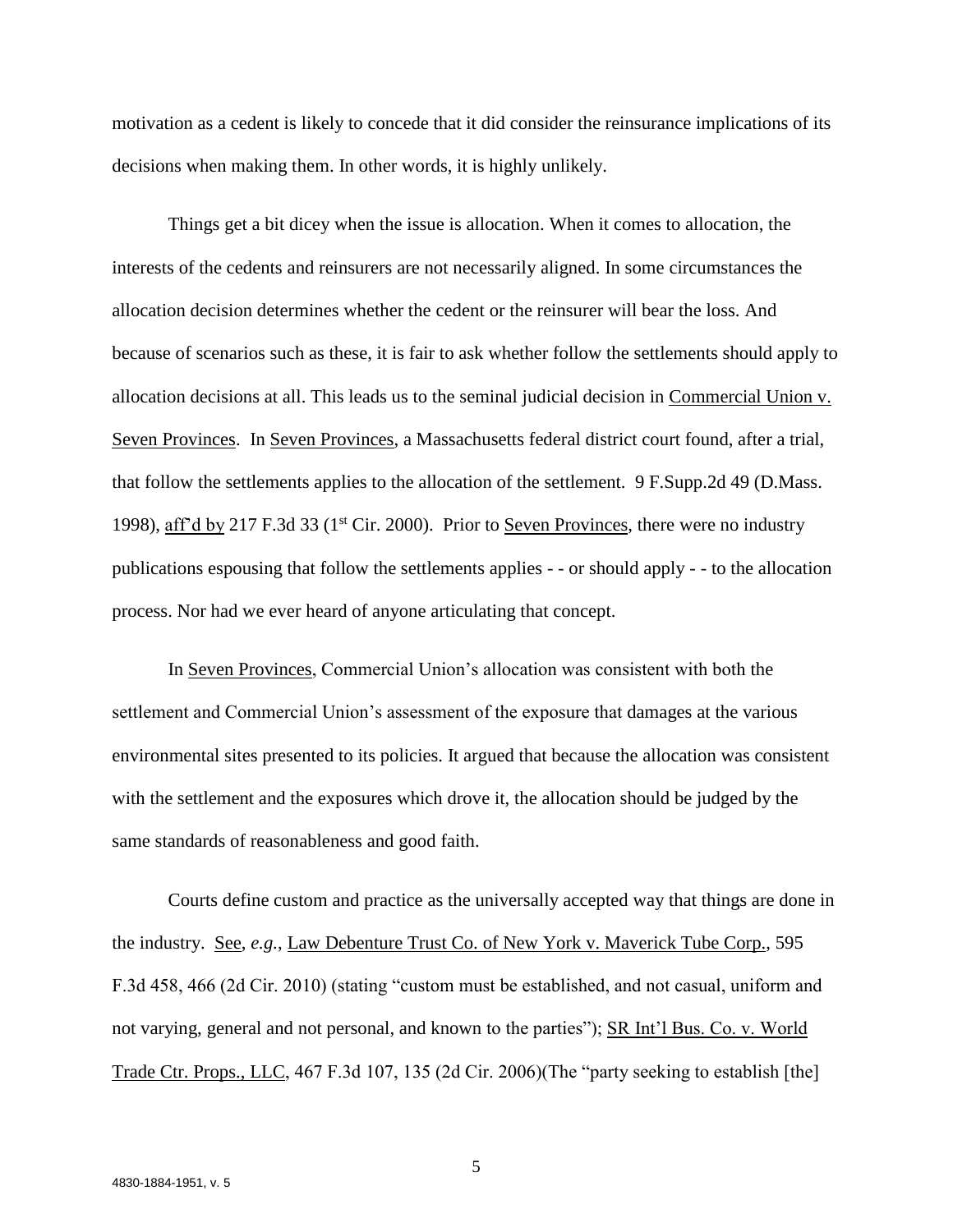motivation as a cedent is likely to concede that it did consider the reinsurance implications of its decisions when making them. In other words, it is highly unlikely.

Things get a bit dicey when the issue is allocation. When it comes to allocation, the interests of the cedents and reinsurers are not necessarily aligned. In some circumstances the allocation decision determines whether the cedent or the reinsurer will bear the loss. And because of scenarios such as these, it is fair to ask whether follow the settlements should apply to allocation decisions at all. This leads us to the seminal judicial decision in Commercial Union v. Seven Provinces. In Seven Provinces, a Massachusetts federal district court found, after a trial, that follow the settlements applies to the allocation of the settlement. 9 F.Supp.2d 49 (D.Mass. 1998), aff'd by 217 F.3d 33 (1<sup>st</sup> Cir. 2000). Prior to Seven Provinces, there were no industry publications espousing that follow the settlements applies - - or should apply - - to the allocation process. Nor had we ever heard of anyone articulating that concept.

In Seven Provinces, Commercial Union's allocation was consistent with both the settlement and Commercial Union's assessment of the exposure that damages at the various environmental sites presented to its policies. It argued that because the allocation was consistent with the settlement and the exposures which drove it, the allocation should be judged by the same standards of reasonableness and good faith.

Courts define custom and practice as the universally accepted way that things are done in the industry. See, *e.g.*, Law Debenture Trust Co. of New York v. Maverick Tube Corp., 595 F.3d 458, 466 (2d Cir. 2010) (stating "custom must be established, and not casual, uniform and not varying, general and not personal, and known to the parties"); SR Int'l Bus. Co. v. World Trade Ctr. Props., LLC, 467 F.3d 107, 135 (2d Cir. 2006)(The "party seeking to establish [the]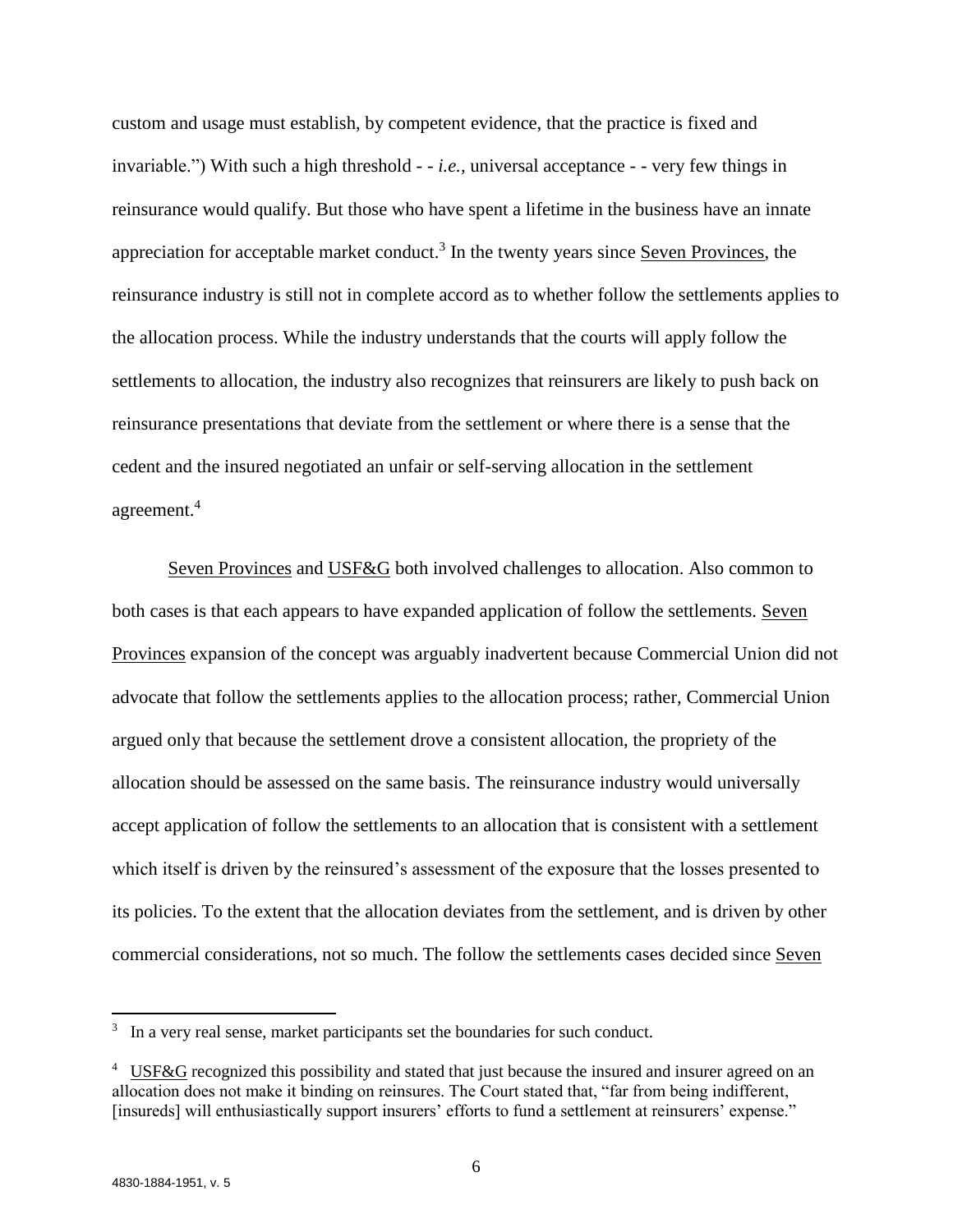custom and usage must establish, by competent evidence, that the practice is fixed and invariable.") With such a high threshold - - *i.e.,* universal acceptance - - very few things in reinsurance would qualify. But those who have spent a lifetime in the business have an innate appreciation for acceptable market conduct.<sup>3</sup> In the twenty years since Seven Provinces, the reinsurance industry is still not in complete accord as to whether follow the settlements applies to the allocation process. While the industry understands that the courts will apply follow the settlements to allocation, the industry also recognizes that reinsurers are likely to push back on reinsurance presentations that deviate from the settlement or where there is a sense that the cedent and the insured negotiated an unfair or self-serving allocation in the settlement agreement.<sup>4</sup>

Seven Provinces and USF&G both involved challenges to allocation. Also common to both cases is that each appears to have expanded application of follow the settlements. Seven Provinces expansion of the concept was arguably inadvertent because Commercial Union did not advocate that follow the settlements applies to the allocation process; rather, Commercial Union argued only that because the settlement drove a consistent allocation, the propriety of the allocation should be assessed on the same basis. The reinsurance industry would universally accept application of follow the settlements to an allocation that is consistent with a settlement which itself is driven by the reinsured's assessment of the exposure that the losses presented to its policies. To the extent that the allocation deviates from the settlement, and is driven by other commercial considerations, not so much. The follow the settlements cases decided since Seven

 $\overline{\phantom{a}}$ 

<sup>&</sup>lt;sup>3</sup> In a very real sense, market participants set the boundaries for such conduct.

<sup>&</sup>lt;sup>4</sup> USF&G recognized this possibility and stated that just because the insured and insurer agreed on an allocation does not make it binding on reinsures. The Court stated that, "far from being indifferent, [insureds] will enthusiastically support insurers' efforts to fund a settlement at reinsurers' expense."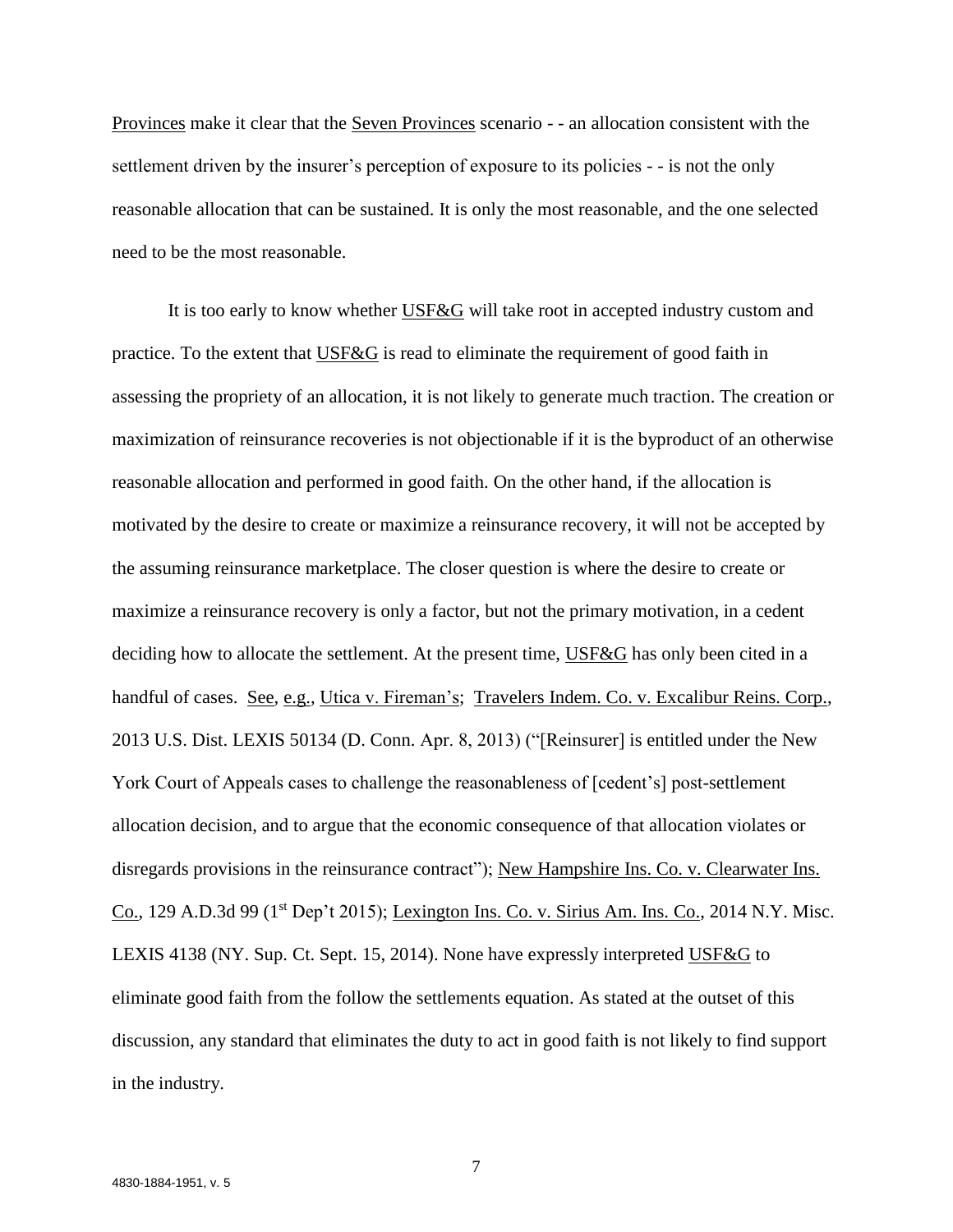Provinces make it clear that the Seven Provinces scenario - - an allocation consistent with the settlement driven by the insurer's perception of exposure to its policies - - is not the only reasonable allocation that can be sustained. It is only the most reasonable, and the one selected need to be the most reasonable.

It is too early to know whether USF&G will take root in accepted industry custom and practice. To the extent that USF&G is read to eliminate the requirement of good faith in assessing the propriety of an allocation, it is not likely to generate much traction. The creation or maximization of reinsurance recoveries is not objectionable if it is the byproduct of an otherwise reasonable allocation and performed in good faith. On the other hand, if the allocation is motivated by the desire to create or maximize a reinsurance recovery, it will not be accepted by the assuming reinsurance marketplace. The closer question is where the desire to create or maximize a reinsurance recovery is only a factor, but not the primary motivation, in a cedent deciding how to allocate the settlement. At the present time, USF&G has only been cited in a handful of cases. See, e.g., Utica v. Fireman's; Travelers Indem. Co. v. Excalibur Reins. Corp., 2013 U.S. Dist. LEXIS 50134 (D. Conn. Apr. 8, 2013) ("[Reinsurer] is entitled under the New York Court of Appeals cases to challenge the reasonableness of [cedent's] post-settlement allocation decision, and to argue that the economic consequence of that allocation violates or disregards provisions in the reinsurance contract"); New Hampshire Ins. Co. v. Clearwater Ins. Co., 129 A.D.3d 99 (1st Dep't 2015); Lexington Ins. Co. v. Sirius Am. Ins. Co., 2014 N.Y. Misc. LEXIS 4138 (NY. Sup. Ct. Sept. 15, 2014). None have expressly interpreted USF&G to eliminate good faith from the follow the settlements equation. As stated at the outset of this discussion, any standard that eliminates the duty to act in good faith is not likely to find support in the industry.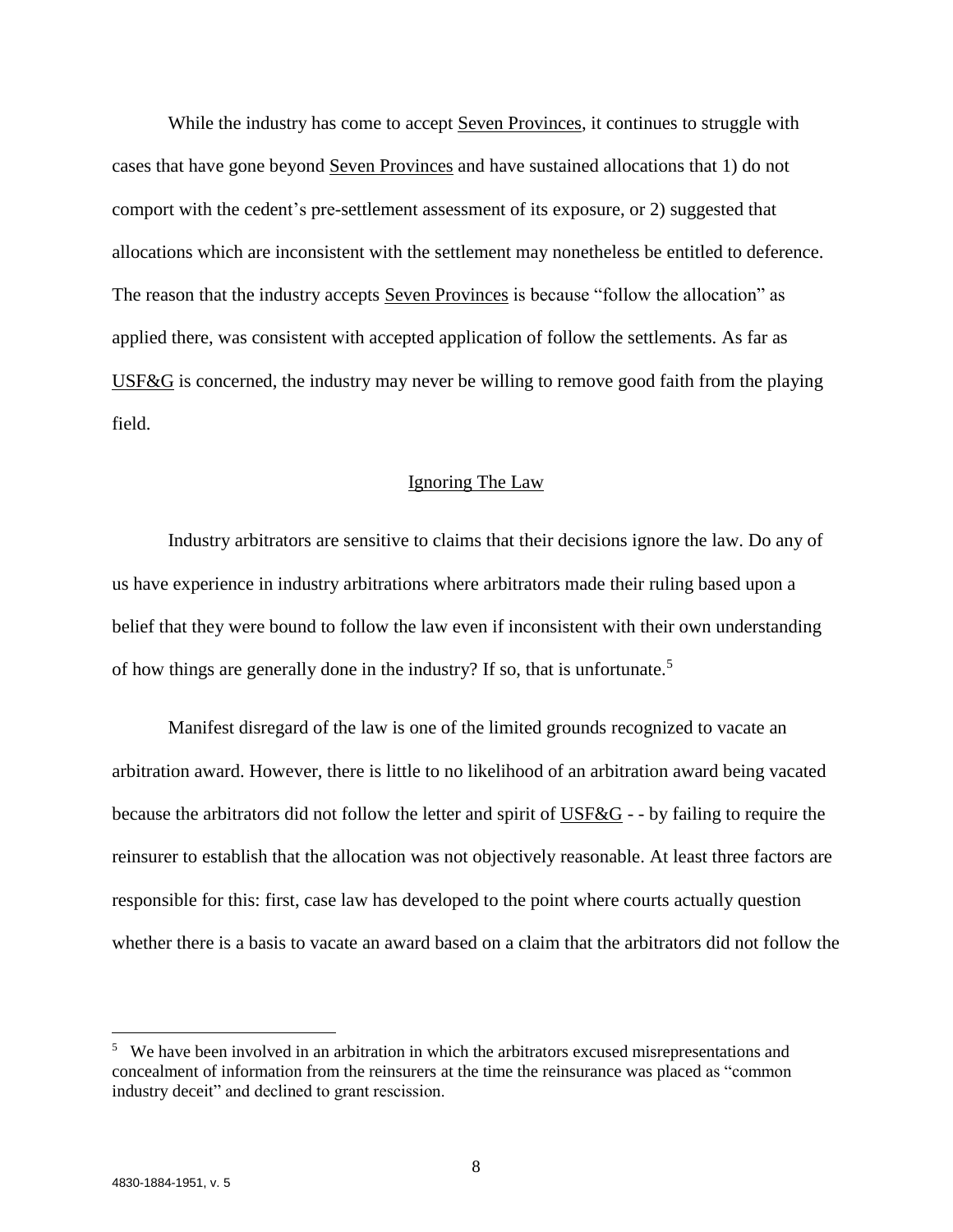While the industry has come to accept Seven Provinces, it continues to struggle with cases that have gone beyond Seven Provinces and have sustained allocations that 1) do not comport with the cedent's pre-settlement assessment of its exposure, or 2) suggested that allocations which are inconsistent with the settlement may nonetheless be entitled to deference. The reason that the industry accepts Seven Provinces is because "follow the allocation" as applied there, was consistent with accepted application of follow the settlements. As far as USF&G is concerned, the industry may never be willing to remove good faith from the playing field.

## Ignoring The Law

Industry arbitrators are sensitive to claims that their decisions ignore the law. Do any of us have experience in industry arbitrations where arbitrators made their ruling based upon a belief that they were bound to follow the law even if inconsistent with their own understanding of how things are generally done in the industry? If so, that is unfortunate.<sup>5</sup>

Manifest disregard of the law is one of the limited grounds recognized to vacate an arbitration award. However, there is little to no likelihood of an arbitration award being vacated because the arbitrators did not follow the letter and spirit of USF&G - - by failing to require the reinsurer to establish that the allocation was not objectively reasonable. At least three factors are responsible for this: first, case law has developed to the point where courts actually question whether there is a basis to vacate an award based on a claim that the arbitrators did not follow the

 $\overline{\phantom{a}}$ 

<sup>&</sup>lt;sup>5</sup> We have been involved in an arbitration in which the arbitrators excused misrepresentations and concealment of information from the reinsurers at the time the reinsurance was placed as "common industry deceit" and declined to grant rescission.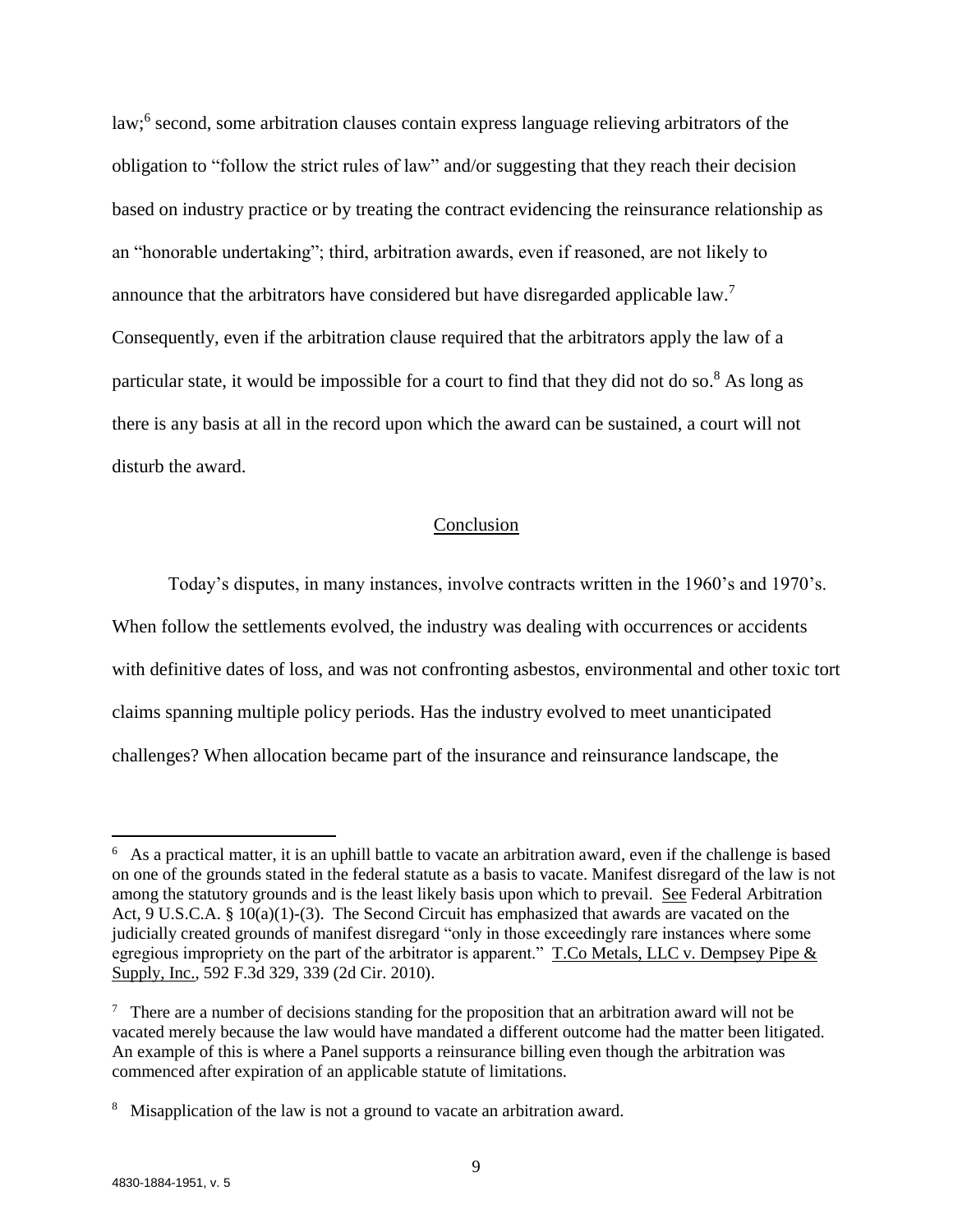law;<sup>6</sup> second, some arbitration clauses contain express language relieving arbitrators of the obligation to "follow the strict rules of law" and/or suggesting that they reach their decision based on industry practice or by treating the contract evidencing the reinsurance relationship as an "honorable undertaking"; third, arbitration awards, even if reasoned, are not likely to announce that the arbitrators have considered but have disregarded applicable  $law$ .<sup>7</sup> Consequently, even if the arbitration clause required that the arbitrators apply the law of a particular state, it would be impossible for a court to find that they did not do so.<sup>8</sup> As long as there is any basis at all in the record upon which the award can be sustained, a court will not disturb the award.

## Conclusion

Today's disputes, in many instances, involve contracts written in the 1960's and 1970's. When follow the settlements evolved, the industry was dealing with occurrences or accidents with definitive dates of loss, and was not confronting asbestos, environmental and other toxic tort claims spanning multiple policy periods. Has the industry evolved to meet unanticipated challenges? When allocation became part of the insurance and reinsurance landscape, the

 $\overline{a}$ 

<sup>&</sup>lt;sup>6</sup> As a practical matter, it is an uphill battle to vacate an arbitration award, even if the challenge is based on one of the grounds stated in the federal statute as a basis to vacate. Manifest disregard of the law is not among the statutory grounds and is the least likely basis upon which to prevail. See Federal Arbitration Act, 9 U.S.C.A. § 10(a)(1)-(3). The Second Circuit has emphasized that awards are vacated on the judicially created grounds of manifest disregard "only in those exceedingly rare instances where some egregious impropriety on the part of the arbitrator is apparent." T.Co Metals, LLC v. Dempsey Pipe & Supply, Inc., 592 F.3d 329, 339 (2d Cir. 2010).

<sup>&</sup>lt;sup>7</sup> There are a number of decisions standing for the proposition that an arbitration award will not be vacated merely because the law would have mandated a different outcome had the matter been litigated. An example of this is where a Panel supports a reinsurance billing even though the arbitration was commenced after expiration of an applicable statute of limitations.

<sup>&</sup>lt;sup>8</sup> Misapplication of the law is not a ground to vacate an arbitration award.